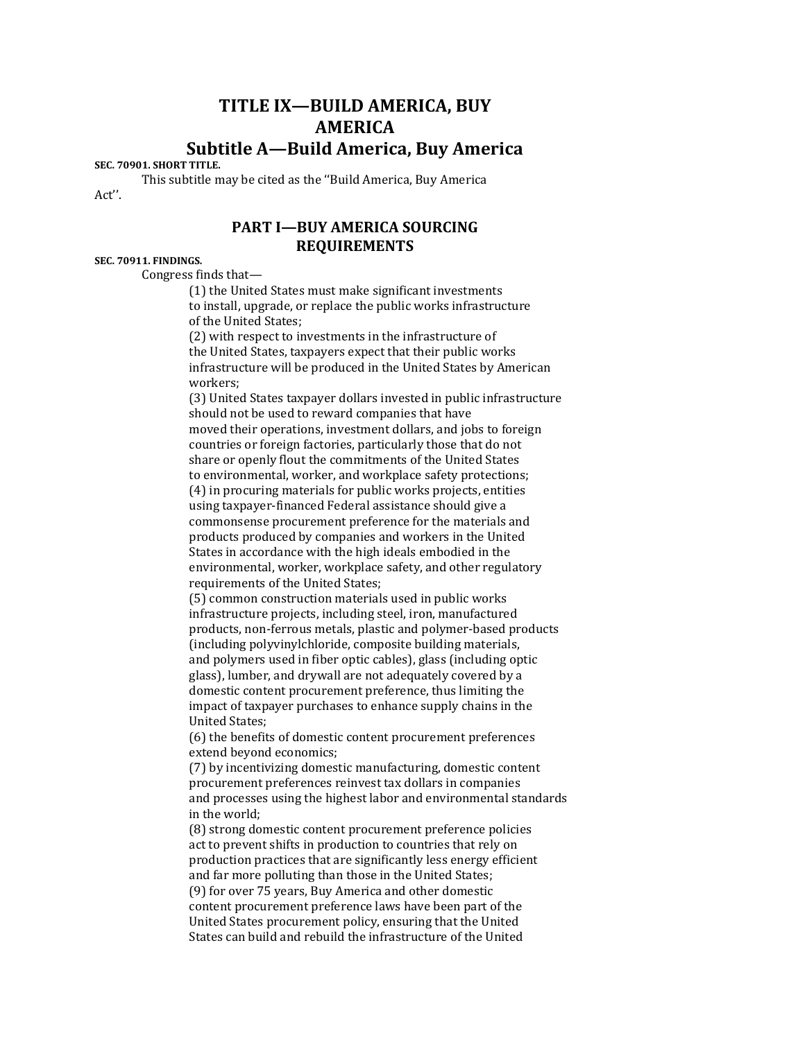# **TITLE IX—BUILD AMERICA, BUY AMERICA**

## **Subtitle A—Build America, Buy America**

**SEC. 70901. SHORT TITLE.** 

This subtitle may be cited as the ''Build America, Buy America Act''.

## **PART I—BUY AMERICA SOURCING REQUIREMENTS**

## **SEC. 70911. FINDINGS.**

Congress finds that—

(1) the United States must make significant investments to install, upgrade, or replace the public works infrastructure of the United States;

(2) with respect to investments in the infrastructure of the United States, taxpayers expect that their public works infrastructure will be produced in the United States by American workers;

(3) United States taxpayer dollars invested in public infrastructure should not be used to reward companies that have moved their operations, investment dollars, and jobs to foreign countries or foreign factories, particularly those that do not share or openly flout the commitments of the United States to environmental, worker, and workplace safety protections; (4) in procuring materials for public works projects, entities using taxpayer-financed Federal assistance should give a commonsense procurement preference for the materials and products produced by companies and workers in the United States in accordance with the high ideals embodied in the environmental, worker, workplace safety, and other regulatory requirements of the United States;

(5) common construction materials used in public works infrastructure projects, including steel, iron, manufactured products, non-ferrous metals, plastic and polymer-based products (including polyvinylchloride, composite building materials, and polymers used in fiber optic cables), glass (including optic glass), lumber, and drywall are not adequately covered by a domestic content procurement preference, thus limiting the impact of taxpayer purchases to enhance supply chains in the United States;

(6) the benefits of domestic content procurement preferences extend beyond economics;

(7) by incentivizing domestic manufacturing, domestic content procurement preferences reinvest tax dollars in companies and processes using the highest labor and environmental standards in the world;

(8) strong domestic content procurement preference policies act to prevent shifts in production to countries that rely on production practices that are significantly less energy efficient and far more polluting than those in the United States; (9) for over 75 years, Buy America and other domestic content procurement preference laws have been part of the United States procurement policy, ensuring that the United States can build and rebuild the infrastructure of the United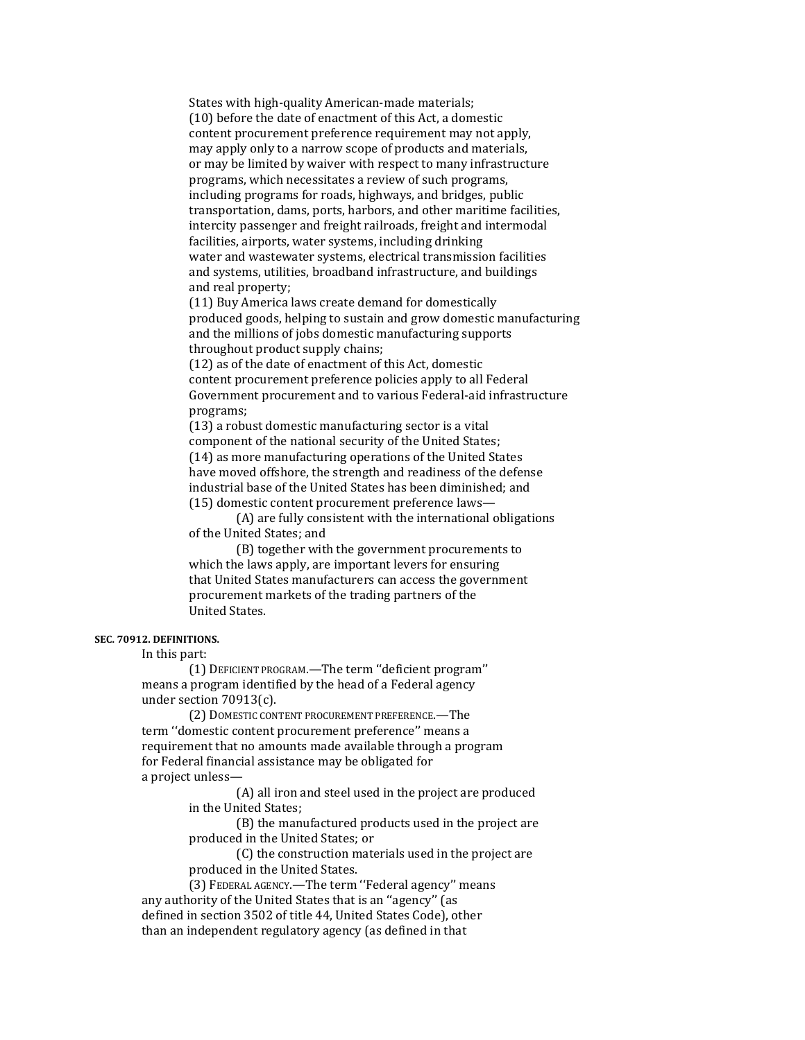States with high-quality American-made materials; (10) before the date of enactment of this Act, a domestic content procurement preference requirement may not apply, may apply only to a narrow scope of products and materials, or may be limited by waiver with respect to many infrastructure programs, which necessitates a review of such programs, including programs for roads, highways, and bridges, public transportation, dams, ports, harbors, and other maritime facilities, intercity passenger and freight railroads, freight and intermodal facilities, airports, water systems, including drinking water and wastewater systems, electrical transmission facilities and systems, utilities, broadband infrastructure, and buildings and real property;

(11) Buy America laws create demand for domestically produced goods, helping to sustain and grow domestic manufacturing and the millions of jobs domestic manufacturing supports throughout product supply chains;

(12) as of the date of enactment of this Act, domestic content procurement preference policies apply to all Federal Government procurement and to various Federal-aid infrastructure programs;

(13) a robust domestic manufacturing sector is a vital component of the national security of the United States; (14) as more manufacturing operations of the United States have moved offshore, the strength and readiness of the defense industrial base of the United States has been diminished; and (15) domestic content procurement preference laws—

(A) are fully consistent with the international obligations of the United States; and

(B) together with the government procurements to which the laws apply, are important levers for ensuring that United States manufacturers can access the government procurement markets of the trading partners of the United States.

#### **SEC. 70912. DEFINITIONS.**

In this part:

(1) DEFICIENT PROGRAM.—The term ''deficient program'' means a program identified by the head of a Federal agency under section 70913(c).

(2) DOMESTIC CONTENT PROCUREMENT PREFERENCE.—The term ''domestic content procurement preference'' means a requirement that no amounts made available through a program for Federal financial assistance may be obligated for a project unless—

> (A) all iron and steel used in the project are produced in the United States;

(B) the manufactured products used in the project are produced in the United States; or

(C) the construction materials used in the project are produced in the United States.

(3) FEDERAL AGENCY.—The term ''Federal agency'' means any authority of the United States that is an ''agency'' (as defined in section 3502 of title 44, United States Code), other than an independent regulatory agency (as defined in that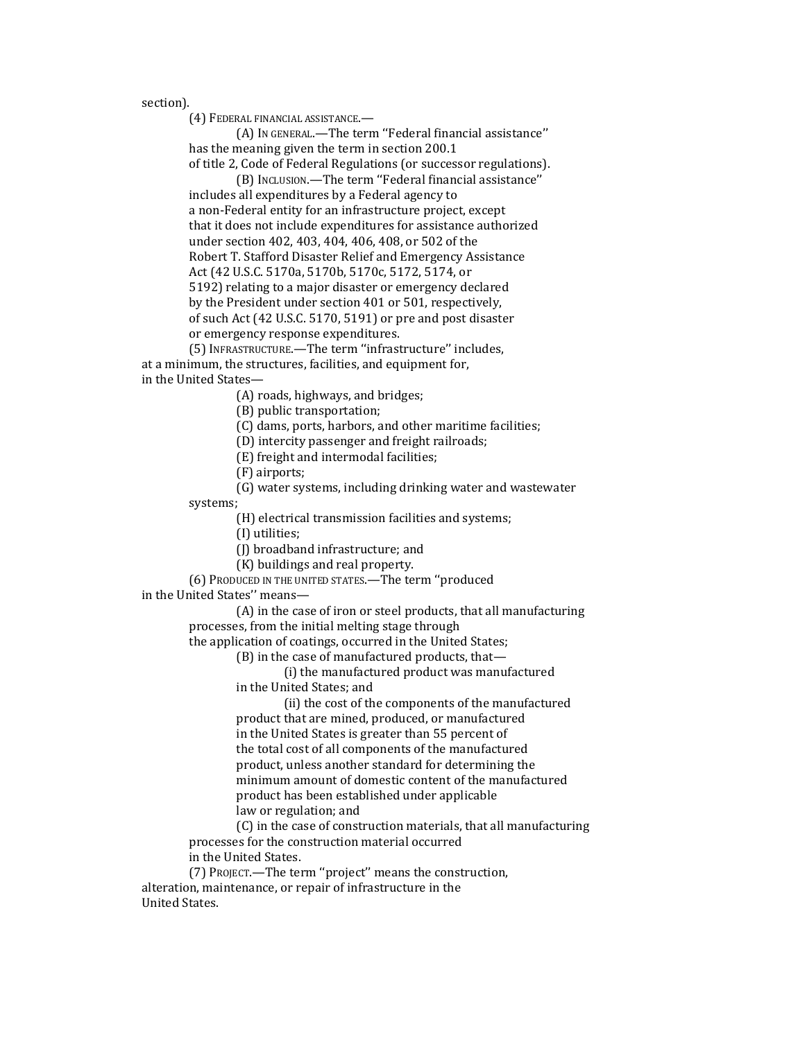section).

(4) FEDERAL FINANCIAL ASSISTANCE.—

(A) IN GENERAL.—The term ''Federal financial assistance'' has the meaning given the term in section 200.1 of title 2, Code of Federal Regulations (or successor regulations).

(B) INCLUSION.—The term ''Federal financial assistance'' includes all expenditures by a Federal agency to a non-Federal entity for an infrastructure project, except that it does not include expenditures for assistance authorized under section 402, 403, 404, 406, 408, or 502 of the Robert T. Stafford Disaster Relief and Emergency Assistance Act (42 U.S.C. 5170a, 5170b, 5170c, 5172, 5174, or 5192) relating to a major disaster or emergency declared by the President under section 401 or 501, respectively, of such Act (42 U.S.C. 5170, 5191) or pre and post disaster or emergency response expenditures.

(5) INFRASTRUCTURE.—The term ''infrastructure'' includes, at a minimum, the structures, facilities, and equipment for, in the United States—

(A) roads, highways, and bridges;

(B) public transportation;

(C) dams, ports, harbors, and other maritime facilities;

(D) intercity passenger and freight railroads;

(E) freight and intermodal facilities;

(F) airports;

(G) water systems, including drinking water and wastewater systems;

(H) electrical transmission facilities and systems;

(I) utilities;

(J) broadband infrastructure; and

(K) buildings and real property.

(6) PRODUCED IN THE UNITED STATES.—The term ''produced in the United States'' means—

(A) in the case of iron or steel products, that all manufacturing processes, from the initial melting stage through

the application of coatings, occurred in the United States;

(B) in the case of manufactured products, that—

(i) the manufactured product was manufactured in the United States; and

(ii) the cost of the components of the manufactured product that are mined, produced, or manufactured in the United States is greater than 55 percent of the total cost of all components of the manufactured product, unless another standard for determining the minimum amount of domestic content of the manufactured product has been established under applicable law or regulation; and

(C) in the case of construction materials, that all manufacturing processes for the construction material occurred in the United States.

(7) PROJECT.—The term ''project'' means the construction, alteration, maintenance, or repair of infrastructure in the United States.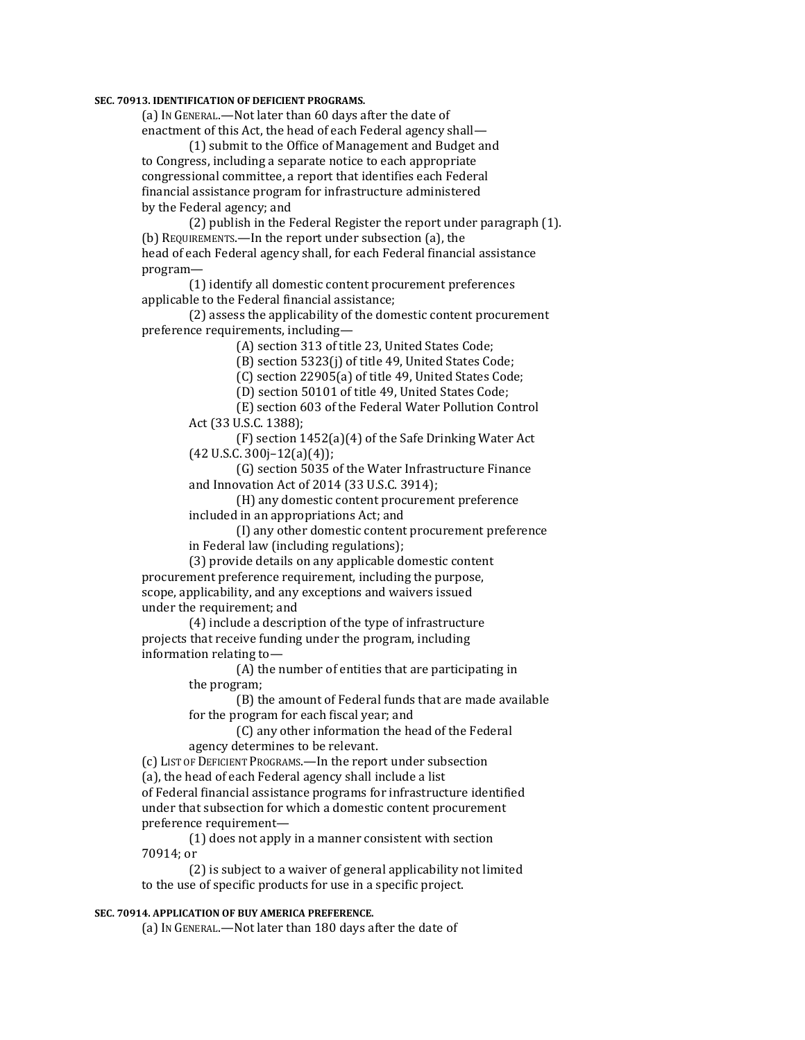#### **SEC. 70913. IDENTIFICATION OF DEFICIENT PROGRAMS.**

(a) IN GENERAL.—Not later than 60 days after the date of enactment of this Act, the head of each Federal agency shall—

(1) submit to the Office of Management and Budget and to Congress, including a separate notice to each appropriate congressional committee, a report that identifies each Federal financial assistance program for infrastructure administered by the Federal agency; and

(2) publish in the Federal Register the report under paragraph (1). (b) REQUIREMENTS.—In the report under subsection (a), the head of each Federal agency shall, for each Federal financial assistance program—

(1) identify all domestic content procurement preferences applicable to the Federal financial assistance;

(2) assess the applicability of the domestic content procurement preference requirements, including—

(A) section 313 of title 23, United States Code;

(B) section 5323(j) of title 49, United States Code;

(C) section 22905(a) of title 49, United States Code;

(D) section 50101 of title 49, United States Code;

(E) section 603 of the Federal Water Pollution Control Act (33 U.S.C. 1388);

(F) section 1452(a)(4) of the Safe Drinking Water Act  $(42 \text{ U.S.C. } 300j - 12(a)(4));$ 

(G) section 5035 of the Water Infrastructure Finance and Innovation Act of 2014 (33 U.S.C. 3914);

(H) any domestic content procurement preference included in an appropriations Act; and

(I) any other domestic content procurement preference in Federal law (including regulations);

(3) provide details on any applicable domestic content procurement preference requirement, including the purpose, scope, applicability, and any exceptions and waivers issued under the requirement; and

(4) include a description of the type of infrastructure projects that receive funding under the program, including information relating to—

> (A) the number of entities that are participating in the program;

(B) the amount of Federal funds that are made available for the program for each fiscal year; and

(C) any other information the head of the Federal agency determines to be relevant.

(c) LIST OF DEFICIENT PROGRAMS.—In the report under subsection (a), the head of each Federal agency shall include a list of Federal financial assistance programs for infrastructure identified under that subsection for which a domestic content procurement preference requirement—

(1) does not apply in a manner consistent with section 70914; or

(2) is subject to a waiver of general applicability not limited to the use of specific products for use in a specific project.

#### **SEC. 70914. APPLICATION OF BUY AMERICA PREFERENCE.**

(a) IN GENERAL.—Not later than 180 days after the date of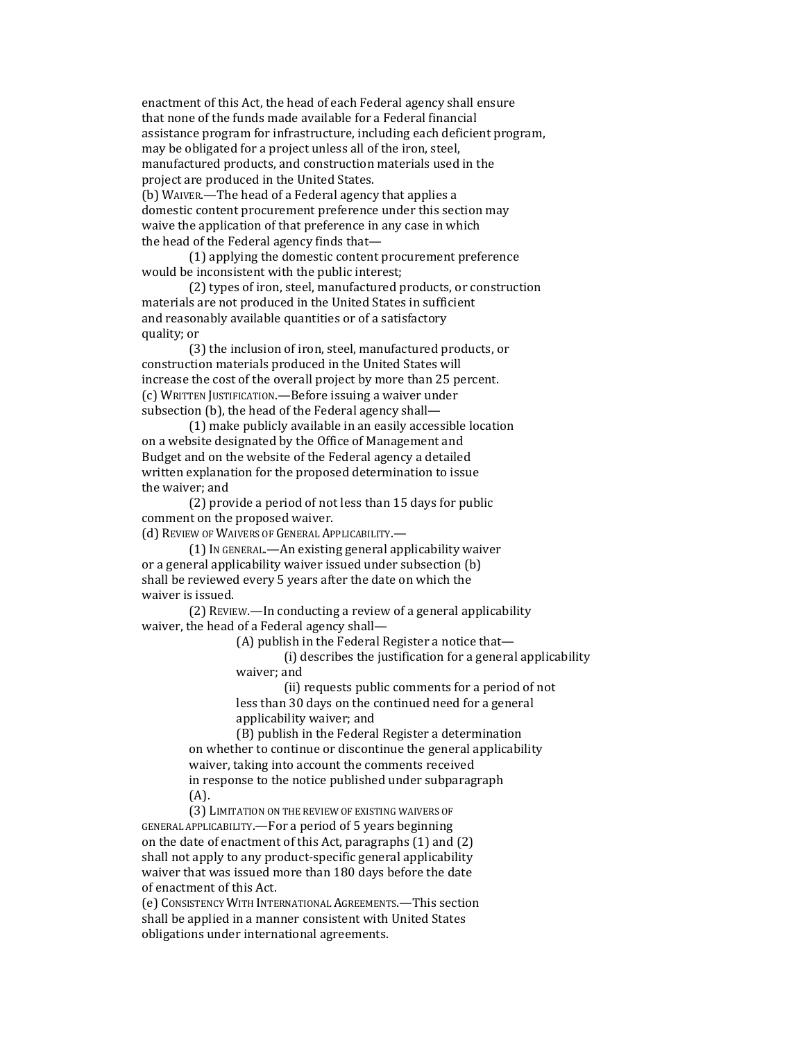enactment of this Act, the head of each Federal agency shall ensure that none of the funds made available for a Federal financial assistance program for infrastructure, including each deficient program, may be obligated for a project unless all of the iron, steel, manufactured products, and construction materials used in the project are produced in the United States.

(b) WAIVER.—The head of a Federal agency that applies a domestic content procurement preference under this section may waive the application of that preference in any case in which the head of the Federal agency finds that—

(1) applying the domestic content procurement preference would be inconsistent with the public interest;

(2) types of iron, steel, manufactured products, or construction materials are not produced in the United States in sufficient and reasonably available quantities or of a satisfactory quality; or

(3) the inclusion of iron, steel, manufactured products, or construction materials produced in the United States will increase the cost of the overall project by more than 25 percent. (c) WRITTEN JUSTIFICATION.—Before issuing a waiver under subsection (b), the head of the Federal agency shall—

(1) make publicly available in an easily accessible location on a website designated by the Office of Management and Budget and on the website of the Federal agency a detailed written explanation for the proposed determination to issue the waiver; and

(2) provide a period of not less than 15 days for public comment on the proposed waiver.

(d) REVIEW OF WAIVERS OF GENERAL APPLICABILITY.—

(1) IN GENERAL.—An existing general applicability waiver or a general applicability waiver issued under subsection (b) shall be reviewed every 5 years after the date on which the waiver is issued.

(2) REVIEW.—In conducting a review of a general applicability waiver, the head of a Federal agency shall—

(A) publish in the Federal Register a notice that—

(i) describes the justification for a general applicability waiver; and

(ii) requests public comments for a period of not less than 30 days on the continued need for a general applicability waiver; and

(B) publish in the Federal Register a determination on whether to continue or discontinue the general applicability waiver, taking into account the comments received in response to the notice published under subparagraph (A).

(3) LIMITATION ON THE REVIEW OF EXISTING WAIVERS OF GENERAL APPLICABILITY.—For a period of 5 years beginning on the date of enactment of this Act, paragraphs (1) and (2) shall not apply to any product-specific general applicability waiver that was issued more than 180 days before the date of enactment of this Act.

(e) CONSISTENCY WITH INTERNATIONAL AGREEMENTS.—This section shall be applied in a manner consistent with United States obligations under international agreements.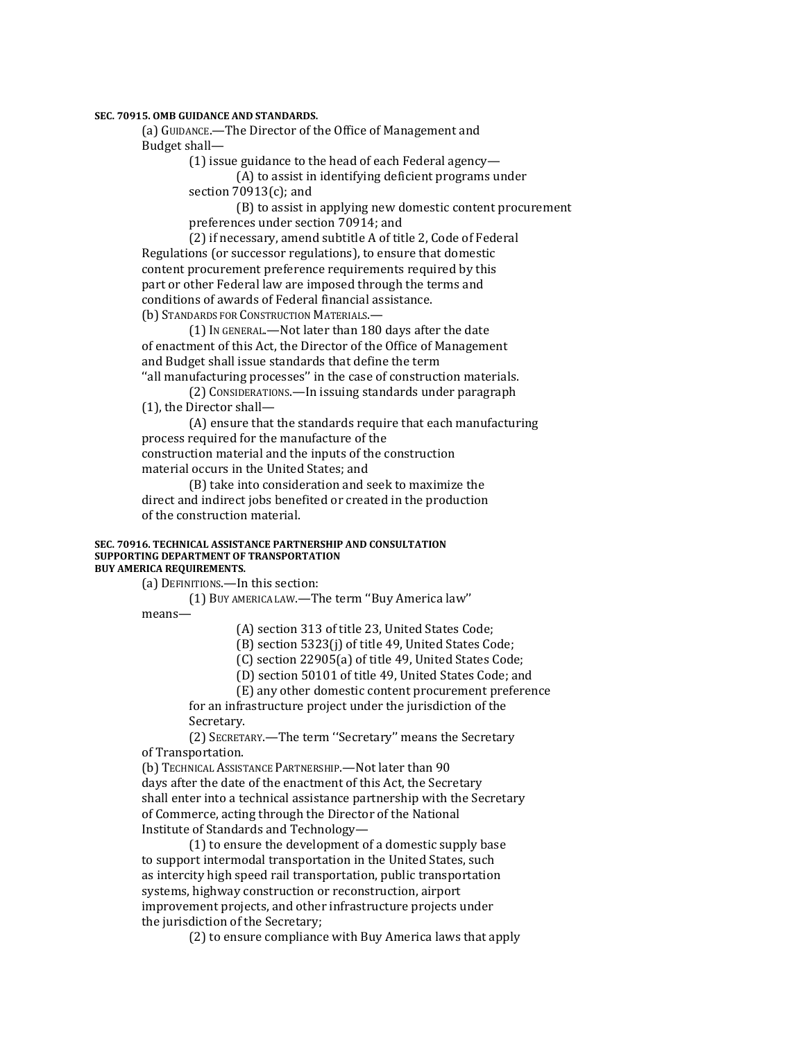#### **SEC. 70915. OMB GUIDANCE AND STANDARDS.**

(a) GUIDANCE.—The Director of the Office of Management and Budget shall—

(1) issue guidance to the head of each Federal agency—

(A) to assist in identifying deficient programs under

section 70913(c); and

(B) to assist in applying new domestic content procurement preferences under section 70914; and

(2) if necessary, amend subtitle A of title 2, Code of Federal Regulations (or successor regulations), to ensure that domestic content procurement preference requirements required by this part or other Federal law are imposed through the terms and conditions of awards of Federal financial assistance. (b) STANDARDS FOR CONSTRUCTION MATERIALS.—

(1) IN GENERAL.—Not later than 180 days after the date of enactment of this Act, the Director of the Office of Management and Budget shall issue standards that define the term

''all manufacturing processes'' in the case of construction materials. (2) CONSIDERATIONS.—In issuing standards under paragraph

(1), the Director shall—

(A) ensure that the standards require that each manufacturing process required for the manufacture of the construction material and the inputs of the construction material occurs in the United States; and

(B) take into consideration and seek to maximize the direct and indirect jobs benefited or created in the production of the construction material.

#### **SEC. 70916. TECHNICAL ASSISTANCE PARTNERSHIP AND CONSULTATION SUPPORTING DEPARTMENT OF TRANSPORTATION BUY AMERICA REQUIREMENTS.**

(a) DEFINITIONS.—In this section:

(1) BUY AMERICA LAW.—The term ''Buy America law''

means—

(A) section 313 of title 23, United States Code;

(B) section 5323(j) of title 49, United States Code;

(C) section 22905(a) of title 49, United States Code;

(D) section 50101 of title 49, United States Code; and

(E) any other domestic content procurement preference for an infrastructure project under the jurisdiction of the

Secretary.

(2) SECRETARY.—The term ''Secretary'' means the Secretary of Transportation.

(b) TECHNICAL ASSISTANCE PARTNERSHIP. - Not later than 90 days after the date of the enactment of this Act, the Secretary shall enter into a technical assistance partnership with the Secretary of Commerce, acting through the Director of the National Institute of Standards and Technology—

(1) to ensure the development of a domestic supply base to support intermodal transportation in the United States, such as intercity high speed rail transportation, public transportation systems, highway construction or reconstruction, airport improvement projects, and other infrastructure projects under the jurisdiction of the Secretary;

(2) to ensure compliance with Buy America laws that apply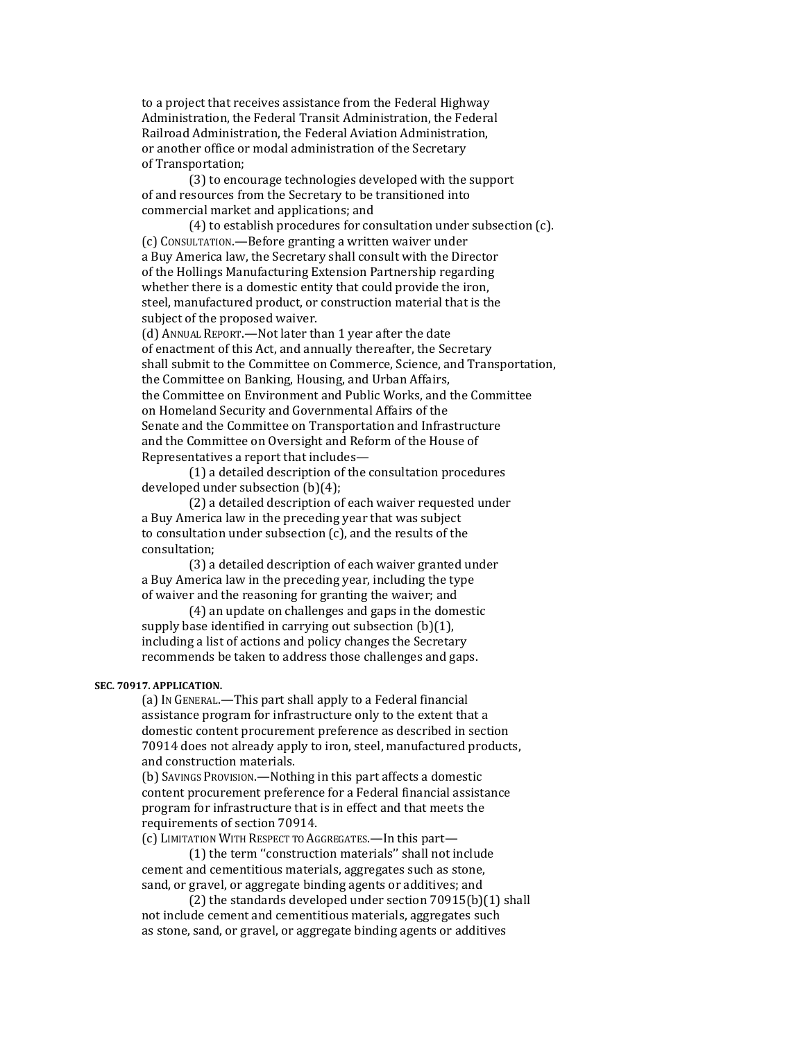to a project that receives assistance from the Federal Highway Administration, the Federal Transit Administration, the Federal Railroad Administration, the Federal Aviation Administration, or another office or modal administration of the Secretary of Transportation;

(3) to encourage technologies developed with the support of and resources from the Secretary to be transitioned into commercial market and applications; and

(4) to establish procedures for consultation under subsection (c). (c) CONSULTATION.—Before granting a written waiver under a Buy America law, the Secretary shall consult with the Director of the Hollings Manufacturing Extension Partnership regarding whether there is a domestic entity that could provide the iron, steel, manufactured product, or construction material that is the subject of the proposed waiver.

(d) ANNUAL REPORT.—Not later than 1 year after the date of enactment of this Act, and annually thereafter, the Secretary shall submit to the Committee on Commerce, Science, and Transportation, the Committee on Banking, Housing, and Urban Affairs, the Committee on Environment and Public Works, and the Committee on Homeland Security and Governmental Affairs of the Senate and the Committee on Transportation and Infrastructure and the Committee on Oversight and Reform of the House of Representatives a report that includes—

(1) a detailed description of the consultation procedures developed under subsection (b)(4);

(2) a detailed description of each waiver requested under a Buy America law in the preceding year that was subject to consultation under subsection (c), and the results of the consultation;

(3) a detailed description of each waiver granted under a Buy America law in the preceding year, including the type of waiver and the reasoning for granting the waiver; and

(4) an update on challenges and gaps in the domestic supply base identified in carrying out subsection (b)(1), including a list of actions and policy changes the Secretary recommends be taken to address those challenges and gaps.

#### **SEC. 70917. APPLICATION.**

(a) IN GENERAL.—This part shall apply to a Federal financial assistance program for infrastructure only to the extent that a domestic content procurement preference as described in section 70914 does not already apply to iron, steel, manufactured products, and construction materials.

(b) SAVINGS PROVISION.—Nothing in this part affects a domestic content procurement preference for a Federal financial assistance program for infrastructure that is in effect and that meets the requirements of section 70914.

(c) LIMITATION WITH RESPECT TO AGGREGATES.—In this part—

(1) the term ''construction materials'' shall not include cement and cementitious materials, aggregates such as stone, sand, or gravel, or aggregate binding agents or additives; and

(2) the standards developed under section 70915(b)(1) shall not include cement and cementitious materials, aggregates such as stone, sand, or gravel, or aggregate binding agents or additives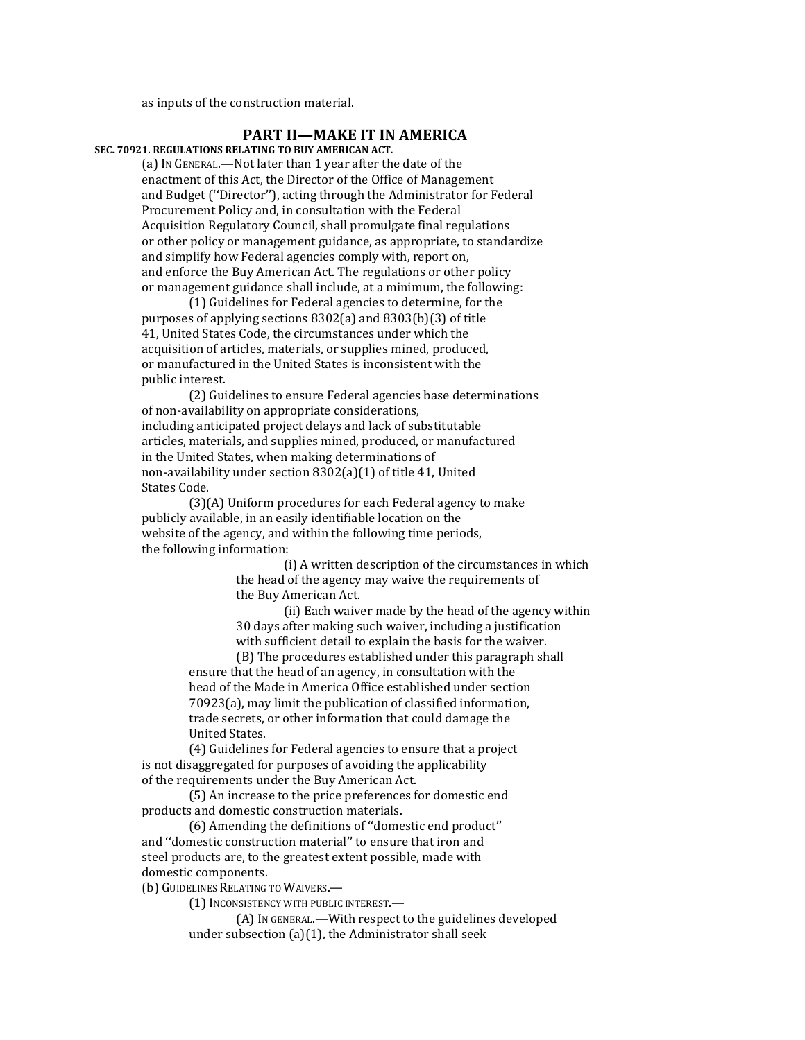as inputs of the construction material.

## **PART II—MAKE IT IN AMERICA**

**SEC. 70921. REGULATIONS RELATING TO BUY AMERICAN ACT.** 

(a) IN GENERAL.—Not later than 1 year after the date of the enactment of this Act, the Director of the Office of Management and Budget (''Director''), acting through the Administrator for Federal Procurement Policy and, in consultation with the Federal Acquisition Regulatory Council, shall promulgate final regulations or other policy or management guidance, as appropriate, to standardize and simplify how Federal agencies comply with, report on, and enforce the Buy American Act. The regulations or other policy or management guidance shall include, at a minimum, the following:

(1) Guidelines for Federal agencies to determine, for the purposes of applying sections 8302(a) and 8303(b)(3) of title 41, United States Code, the circumstances under which the acquisition of articles, materials, or supplies mined, produced, or manufactured in the United States is inconsistent with the public interest.

(2) Guidelines to ensure Federal agencies base determinations of non-availability on appropriate considerations, including anticipated project delays and lack of substitutable articles, materials, and supplies mined, produced, or manufactured in the United States, when making determinations of non-availability under section 8302(a)(1) of title 41, United States Code.

(3)(A) Uniform procedures for each Federal agency to make publicly available, in an easily identifiable location on the website of the agency, and within the following time periods, the following information:

> (i) A written description of the circumstances in which the head of the agency may waive the requirements of the Buy American Act.

> (ii) Each waiver made by the head of the agency within 30 days after making such waiver, including a justification with sufficient detail to explain the basis for the waiver.

(B) The procedures established under this paragraph shall ensure that the head of an agency, in consultation with the head of the Made in America Office established under section 70923(a), may limit the publication of classified information, trade secrets, or other information that could damage the United States.

(4) Guidelines for Federal agencies to ensure that a project is not disaggregated for purposes of avoiding the applicability of the requirements under the Buy American Act.

(5) An increase to the price preferences for domestic end products and domestic construction materials.

(6) Amending the definitions of ''domestic end product'' and ''domestic construction material'' to ensure that iron and steel products are, to the greatest extent possible, made with domestic components.

(b) GUIDELINES RELATING TO WAIVERS.

(1) INCONSISTENCY WITH PUBLIC INTEREST.—

(A) IN GENERAL.—With respect to the guidelines developed under subsection (a)(1), the Administrator shall seek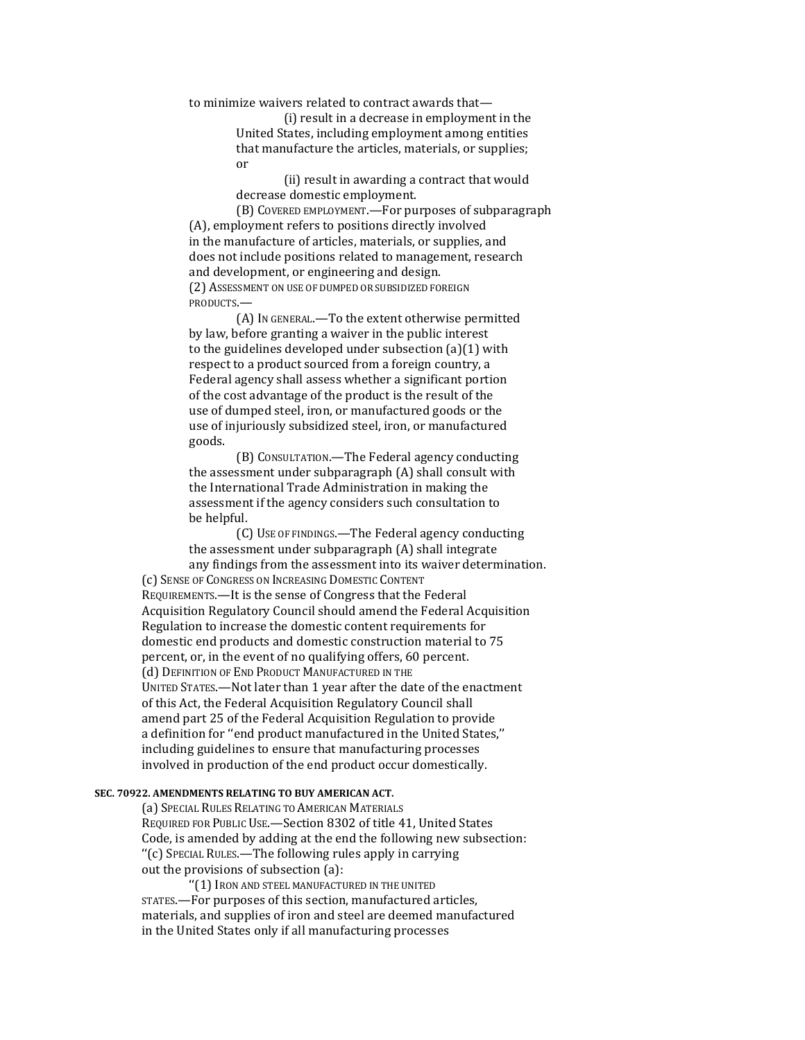to minimize waivers related to contract awards that—

(i) result in a decrease in employment in the United States, including employment among entities that manufacture the articles, materials, or supplies; or

(ii) result in awarding a contract that would decrease domestic employment.

(B) COVERED EMPLOYMENT.—For purposes of subparagraph (A), employment refers to positions directly involved in the manufacture of articles, materials, or supplies, and does not include positions related to management, research and development, or engineering and design. (2) ASSESSMENT ON USE OF DUMPED OR SUBSIDIZED FOREIGN PRODUCTS.—

(A) IN GENERAL.—To the extent otherwise permitted by law, before granting a waiver in the public interest to the guidelines developed under subsection (a)(1) with respect to a product sourced from a foreign country, a Federal agency shall assess whether a significant portion of the cost advantage of the product is the result of the use of dumped steel, iron, or manufactured goods or the use of injuriously subsidized steel, iron, or manufactured goods.

(B) CONSULTATION.—The Federal agency conducting the assessment under subparagraph (A) shall consult with the International Trade Administration in making the assessment if the agency considers such consultation to be helpful.

(C) USE OF FINDINGS.—The Federal agency conducting the assessment under subparagraph (A) shall integrate any findings from the assessment into its waiver determination.

(c) SENSE OF CONGRESS ON INCREASING DOMESTIC CONTENT REQUIREMENTS.—It is the sense of Congress that the Federal Acquisition Regulatory Council should amend the Federal Acquisition Regulation to increase the domestic content requirements for domestic end products and domestic construction material to 75 percent, or, in the event of no qualifying offers, 60 percent. (d) DEFINITION OF END PRODUCT MANUFACTURED IN THE UNITED STATES.—Not later than 1 year after the date of the enactment of this Act, the Federal Acquisition Regulatory Council shall amend part 25 of the Federal Acquisition Regulation to provide a definition for ''end product manufactured in the United States,'' including guidelines to ensure that manufacturing processes involved in production of the end product occur domestically.

#### **SEC. 70922. AMENDMENTS RELATING TO BUY AMERICAN ACT.**

(a) SPECIAL RULES RELATING TO AMERICAN MATERIALS REQUIRED FOR PUBLIC USE.—Section 8302 of title 41, United States Code, is amended by adding at the end the following new subsection: ''(c) SPECIAL RULES.—The following rules apply in carrying out the provisions of subsection (a):

''(1) IRON AND STEEL MANUFACTURED IN THE UNITED STATES.—For purposes of this section, manufactured articles, materials, and supplies of iron and steel are deemed manufactured in the United States only if all manufacturing processes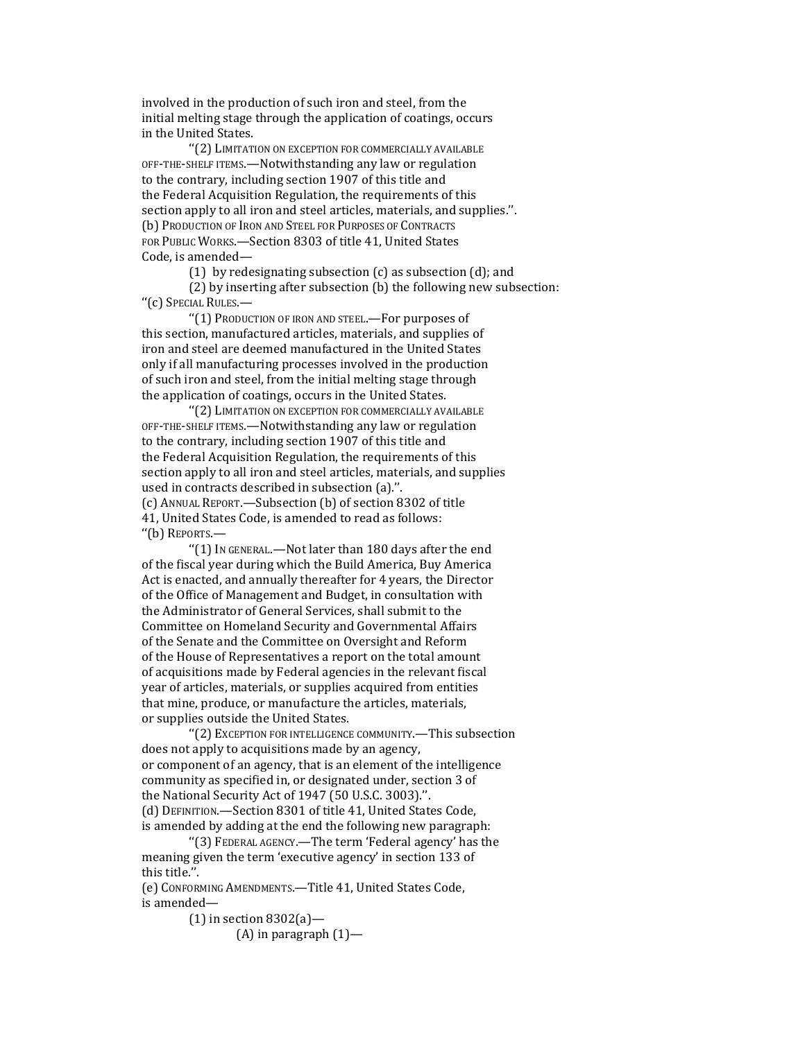involved in the production of such iron and steel, from the initial melting stage through the application of coatings, occurs in the United States.

''(2) LIMITATION ON EXCEPTION FOR COMMERCIALLY AVAILABLE OFF-THE-SHELF ITEMS.—Notwithstanding any law or regulation to the contrary, including section 1907 of this title and the Federal Acquisition Regulation, the requirements of this section apply to all iron and steel articles, materials, and supplies.''. (b) PRODUCTION OF IRON AND STEEL FOR PURPOSES OF CONTRACTS FOR PUBLIC WORKS.—Section 8303 of title 41, United States Code, is amended—

(1) by redesignating subsection (c) as subsection (d); and

(2) by inserting after subsection (b) the following new subsection: ''(c) SPECIAL RULES.—

''(1) PRODUCTION OF IRON AND STEEL.—For purposes of this section, manufactured articles, materials, and supplies of iron and steel are deemed manufactured in the United States only if all manufacturing processes involved in the production of such iron and steel, from the initial melting stage through the application of coatings, occurs in the United States.

''(2) LIMITATION ON EXCEPTION FOR COMMERCIALLY AVAILABLE OFF-THE-SHELF ITEMS.—Notwithstanding any law or regulation to the contrary, including section 1907 of this title and the Federal Acquisition Regulation, the requirements of this section apply to all iron and steel articles, materials, and supplies used in contracts described in subsection (a).''. (c) ANNUAL REPORT.—Subsection (b) of section 8302 of title 41, United States Code, is amended to read as follows: ''(b) REPORTS.—

''(1) IN GENERAL.—Not later than 180 days after the end of the fiscal year during which the Build America, Buy America Act is enacted, and annually thereafter for 4 years, the Director of the Office of Management and Budget, in consultation with the Administrator of General Services, shall submit to the Committee on Homeland Security and Governmental Affairs of the Senate and the Committee on Oversight and Reform of the House of Representatives a report on the total amount of acquisitions made by Federal agencies in the relevant fiscal year of articles, materials, or supplies acquired from entities that mine, produce, or manufacture the articles, materials, or supplies outside the United States.

''(2) EXCEPTION FOR INTELLIGENCE COMMUNITY.—This subsection does not apply to acquisitions made by an agency, or component of an agency, that is an element of the intelligence community as specified in, or designated under, section 3 of the National Security Act of 1947 (50 U.S.C. 3003).''. (d) DEFINITION.—Section 8301 of title 41, United States Code, is amended by adding at the end the following new paragraph:

''(3) FEDERAL AGENCY.—The term 'Federal agency' has the meaning given the term 'executive agency' in section 133 of this title.''.

(e) CONFORMING AMENDMENTS.—Title 41, United States Code, is amended—

(1) in section 8302(a)— (A) in paragraph  $(1)$ —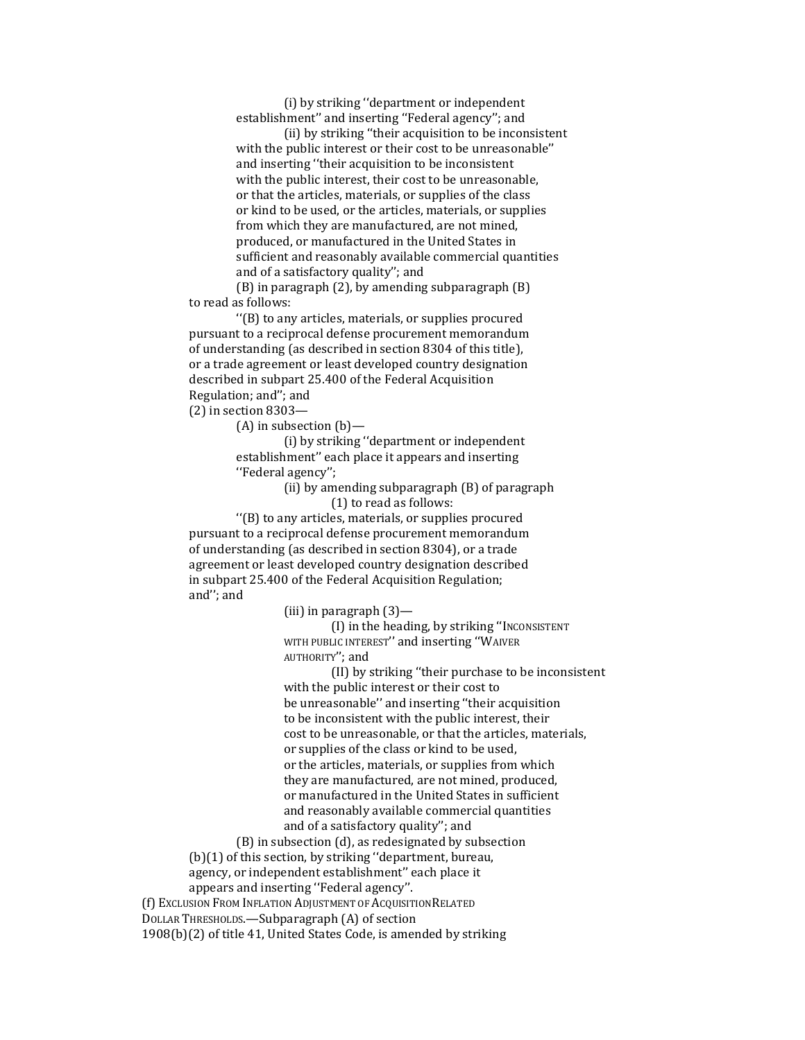(i) by striking ''department or independent establishment" and inserting "Federal agency"; and

(ii) by striking ''their acquisition to be inconsistent with the public interest or their cost to be unreasonable'' and inserting ''their acquisition to be inconsistent with the public interest, their cost to be unreasonable, or that the articles, materials, or supplies of the class or kind to be used, or the articles, materials, or supplies from which they are manufactured, are not mined, produced, or manufactured in the United States in sufficient and reasonably available commercial quantities and of a satisfactory quality''; and

(B) in paragraph (2), by amending subparagraph (B) to read as follows:

''(B) to any articles, materials, or supplies procured pursuant to a reciprocal defense procurement memorandum of understanding (as described in section 8304 of this title), or a trade agreement or least developed country designation described in subpart 25.400 of the Federal Acquisition Regulation; and''; and

(2) in section 8303—

(A) in subsection (b)—

(i) by striking ''department or independent establishment'' each place it appears and inserting ''Federal agency'';

> (ii) by amending subparagraph (B) of paragraph (1) to read as follows:

''(B) to any articles, materials, or supplies procured pursuant to a reciprocal defense procurement memorandum of understanding (as described in section 8304), or a trade agreement or least developed country designation described in subpart 25.400 of the Federal Acquisition Regulation; and''; and

(iii) in paragraph (3)—

(I) in the heading, by striking ''INCONSISTENT WITH PUBLIC INTEREST'' and inserting ''WAIVER AUTHORITY''; and

(II) by striking ''their purchase to be inconsistent with the public interest or their cost to be unreasonable'' and inserting ''their acquisition to be inconsistent with the public interest, their cost to be unreasonable, or that the articles, materials, or supplies of the class or kind to be used, or the articles, materials, or supplies from which they are manufactured, are not mined, produced, or manufactured in the United States in sufficient and reasonably available commercial quantities and of a satisfactory quality''; and

(B) in subsection (d), as redesignated by subsection (b)(1) of this section, by striking ''department, bureau, agency, or independent establishment'' each place it appears and inserting ''Federal agency''.

(f) EXCLUSION FROM INFLATION ADJUSTMENT OF ACQUISITIONRELATED

DOLLAR THRESHOLDS.—Subparagraph (A) of section

1908(b)(2) of title 41, United States Code, is amended by striking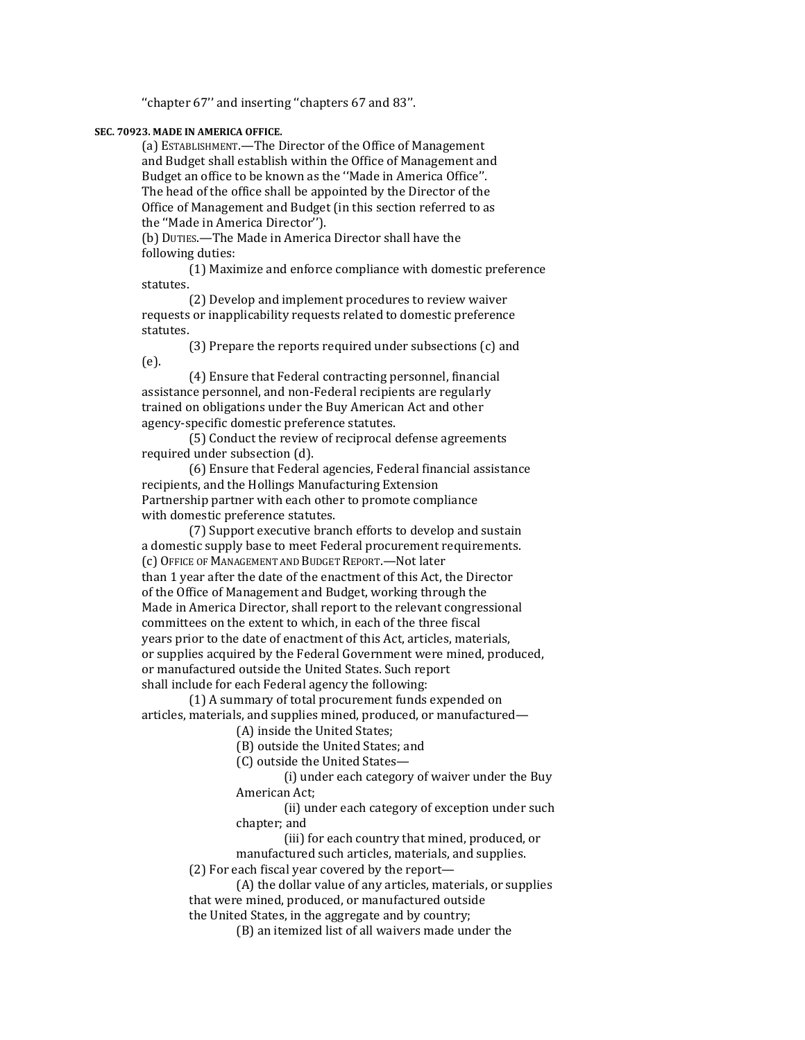''chapter 67'' and inserting ''chapters 67 and 83''.

#### **SEC. 70923. MADE IN AMERICA OFFICE.**

(a) ESTABLISHMENT.—The Director of the Office of Management and Budget shall establish within the Office of Management and Budget an office to be known as the ''Made in America Office''. The head of the office shall be appointed by the Director of the Office of Management and Budget (in this section referred to as the ''Made in America Director'').

(b) DUTIES.—The Made in America Director shall have the following duties:

(1) Maximize and enforce compliance with domestic preference statutes.

(2) Develop and implement procedures to review waiver requests or inapplicability requests related to domestic preference statutes.

(3) Prepare the reports required under subsections (c) and (e).

(4) Ensure that Federal contracting personnel, financial assistance personnel, and non-Federal recipients are regularly trained on obligations under the Buy American Act and other agency-specific domestic preference statutes.

(5) Conduct the review of reciprocal defense agreements required under subsection (d).

(6) Ensure that Federal agencies, Federal financial assistance recipients, and the Hollings Manufacturing Extension Partnership partner with each other to promote compliance with domestic preference statutes.

(7) Support executive branch efforts to develop and sustain a domestic supply base to meet Federal procurement requirements. (c) OFFICE OF MANAGEMENT AND BUDGET REPORT.—Not later than 1 year after the date of the enactment of this Act, the Director of the Office of Management and Budget, working through the Made in America Director, shall report to the relevant congressional committees on the extent to which, in each of the three fiscal years prior to the date of enactment of this Act, articles, materials, or supplies acquired by the Federal Government were mined, produced, or manufactured outside the United States. Such report shall include for each Federal agency the following:

(1) A summary of total procurement funds expended on articles, materials, and supplies mined, produced, or manufactured—

(A) inside the United States;

(B) outside the United States; and

(C) outside the United States—

(i) under each category of waiver under the Buy American Act;

(ii) under each category of exception under such chapter; and

(iii) for each country that mined, produced, or

manufactured such articles, materials, and supplies. (2) For each fiscal year covered by the report—

(A) the dollar value of any articles, materials, or supplies that were mined, produced, or manufactured outside the United States, in the aggregate and by country;

(B) an itemized list of all waivers made under the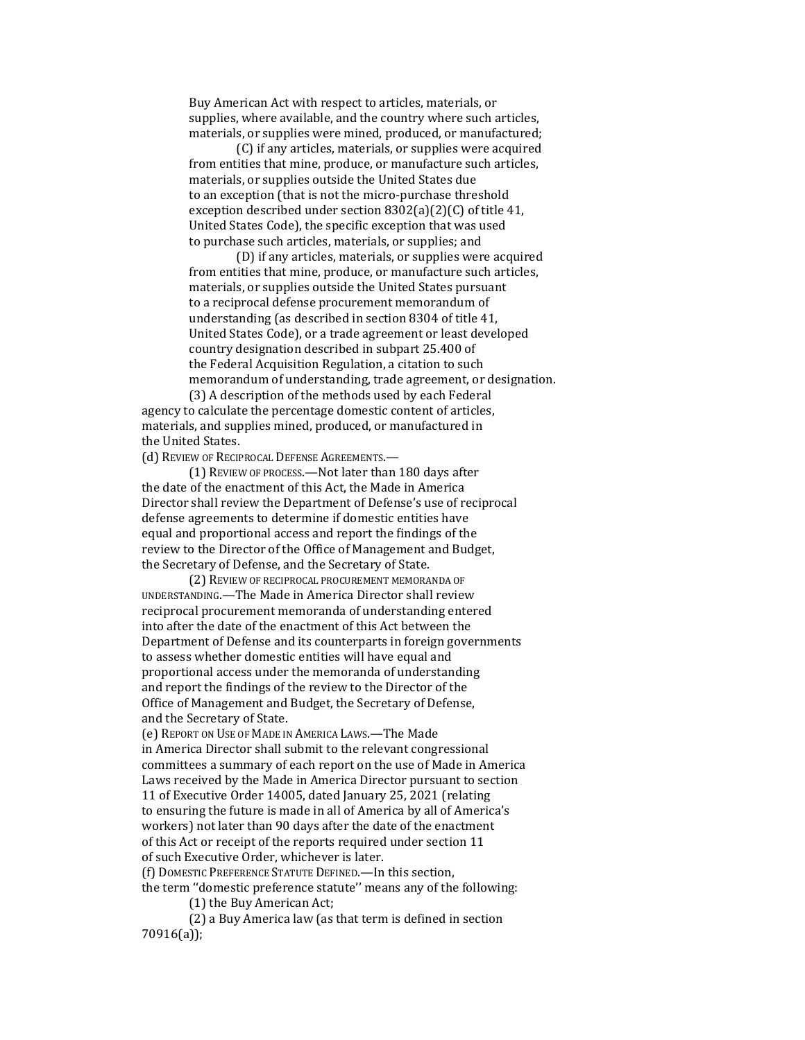Buy American Act with respect to articles, materials, or supplies, where available, and the country where such articles, materials, or supplies were mined, produced, or manufactured;

(C) if any articles, materials, or supplies were acquired from entities that mine, produce, or manufacture such articles, materials, or supplies outside the United States due to an exception (that is not the micro-purchase threshold exception described under section 8302(a)(2)(C) of title 41, United States Code), the specific exception that was used to purchase such articles, materials, or supplies; and

(D) if any articles, materials, or supplies were acquired from entities that mine, produce, or manufacture such articles, materials, or supplies outside the United States pursuant to a reciprocal defense procurement memorandum of understanding (as described in section 8304 of title 41, United States Code), or a trade agreement or least developed country designation described in subpart 25.400 of the Federal Acquisition Regulation, a citation to such memorandum of understanding, trade agreement, or designation.

(3) A description of the methods used by each Federal agency to calculate the percentage domestic content of articles, materials, and supplies mined, produced, or manufactured in the United States.

(d) REVIEW OF RECIPROCAL DEFENSE AGREEMENTS.—

(1) REVIEW OF PROCESS.—Not later than 180 days after the date of the enactment of this Act, the Made in America Director shall review the Department of Defense's use of reciprocal defense agreements to determine if domestic entities have equal and proportional access and report the findings of the review to the Director of the Office of Management and Budget, the Secretary of Defense, and the Secretary of State.

(2) REVIEW OF RECIPROCAL PROCUREMENT MEMORANDA OF UNDERSTANDING.—The Made in America Director shall review reciprocal procurement memoranda of understanding entered into after the date of the enactment of this Act between the Department of Defense and its counterparts in foreign governments to assess whether domestic entities will have equal and proportional access under the memoranda of understanding and report the findings of the review to the Director of the Office of Management and Budget, the Secretary of Defense, and the Secretary of State.

(e) REPORT ON USE OF MADE IN AMERICA LAWS.—The Made in America Director shall submit to the relevant congressional committees a summary of each report on the use of Made in America Laws received by the Made in America Director pursuant to section 11 of Executive Order 14005, dated January 25, 2021 (relating to ensuring the future is made in all of America by all of America's workers) not later than 90 days after the date of the enactment of this Act or receipt of the reports required under section 11 of such Executive Order, whichever is later.

(f) DOMESTIC PREFERENCE STATUTE DEFINED.—In this section,

the term ''domestic preference statute'' means any of the following:

(1) the Buy American Act;

(2) a Buy America law (as that term is defined in section 70916(a));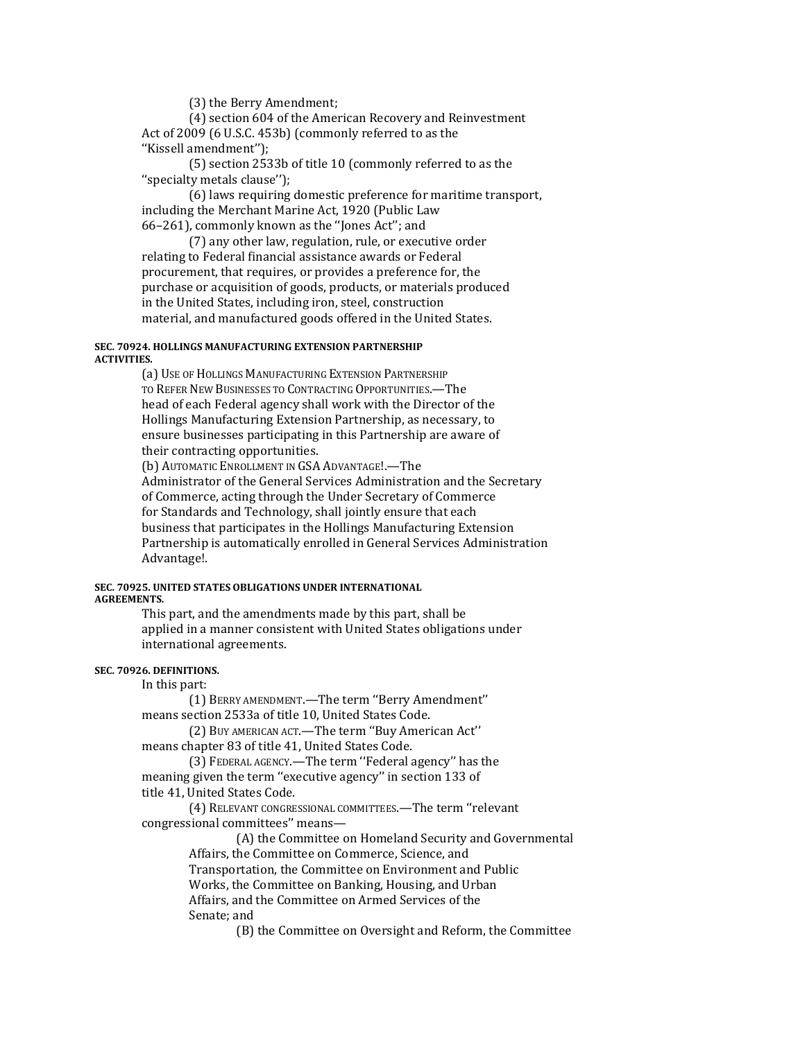(3) the Berry Amendment;

(4) section 604 of the American Recovery and Reinvestment Act of 2009 (6 U.S.C. 453b) (commonly referred to as the ''Kissell amendment'');

(5) section 2533b of title 10 (commonly referred to as the ''specialty metals clause'');

(6) laws requiring domestic preference for maritime transport, including the Merchant Marine Act, 1920 (Public Law 66–261), commonly known as the ''Jones Act''; and

(7) any other law, regulation, rule, or executive order relating to Federal financial assistance awards or Federal procurement, that requires, or provides a preference for, the purchase or acquisition of goods, products, or materials produced in the United States, including iron, steel, construction material, and manufactured goods offered in the United States.

#### **SEC. 70924. HOLLINGS MANUFACTURING EXTENSION PARTNERSHIP ACTIVITIES.**

(a) USE OF HOLLINGS MANUFACTURING EXTENSION PARTNERSHIP TO REFER NEW BUSINESSES TO CONTRACTING OPPORTUNITIES.—The head of each Federal agency shall work with the Director of the Hollings Manufacturing Extension Partnership, as necessary, to ensure businesses participating in this Partnership are aware of their contracting opportunities.

(b) AUTOMATIC ENROLLMENT IN GSA ADVANTAGE!.—The

Administrator of the General Services Administration and the Secretary of Commerce, acting through the Under Secretary of Commerce for Standards and Technology, shall jointly ensure that each business that participates in the Hollings Manufacturing Extension Partnership is automatically enrolled in General Services Administration Advantage!.

#### **SEC. 70925. UNITED STATES OBLIGATIONS UNDER INTERNATIONAL AGREEMENTS.**

This part, and the amendments made by this part, shall be applied in a manner consistent with United States obligations under international agreements.

#### **SEC. 70926. DEFINITIONS.**

In this part:

(1) BERRY AMENDMENT.—The term ''Berry Amendment'' means section 2533a of title 10, United States Code.

(2) BUY AMERICAN ACT.—The term ''Buy American Act'' means chapter 83 of title 41, United States Code.

(3) FEDERAL AGENCY.—The term ''Federal agency'' has the meaning given the term ''executive agency'' in section 133 of title 41, United States Code.

(4) RELEVANT CONGRESSIONAL COMMITTEES.—The term ''relevant congressional committees'' means—

> (A) the Committee on Homeland Security and Governmental Affairs, the Committee on Commerce, Science, and Transportation, the Committee on Environment and Public Works, the Committee on Banking, Housing, and Urban Affairs, and the Committee on Armed Services of the Senate; and

(B) the Committee on Oversight and Reform, the Committee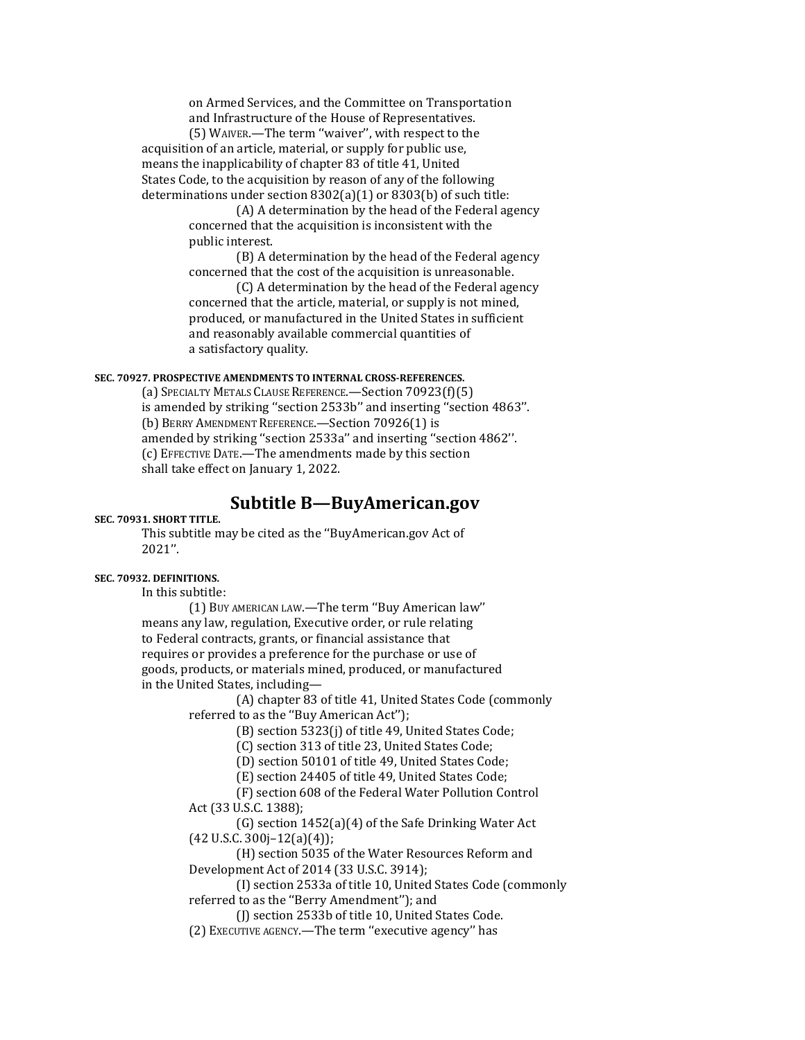on Armed Services, and the Committee on Transportation and Infrastructure of the House of Representatives.

(5) WAIVER.—The term ''waiver'', with respect to the acquisition of an article, material, or supply for public use, means the inapplicability of chapter 83 of title 41, United States Code, to the acquisition by reason of any of the following determinations under section 8302(a)(1) or 8303(b) of such title:

> (A) A determination by the head of the Federal agency concerned that the acquisition is inconsistent with the public interest.

> (B) A determination by the head of the Federal agency concerned that the cost of the acquisition is unreasonable.

> (C) A determination by the head of the Federal agency concerned that the article, material, or supply is not mined, produced, or manufactured in the United States in sufficient and reasonably available commercial quantities of a satisfactory quality.

#### **SEC. 70927. PROSPECTIVE AMENDMENTS TO INTERNAL CROSS-REFERENCES.**

(a) SPECIALTY METALS CLAUSE REFERENCE.—Section 70923(f)(5) is amended by striking ''section 2533b'' and inserting ''section 4863''. (b) BERRY AMENDMENT REFERENCE.—Section 70926(1) is amended by striking ''section 2533a'' and inserting ''section 4862''. (c) EFFECTIVE DATE.—The amendments made by this section shall take effect on January 1, 2022.

## **Subtitle B—BuyAmerican.gov**

## **SEC. 70931. SHORT TITLE.**

This subtitle may be cited as the ''BuyAmerican.gov Act of 2021''.

#### **SEC. 70932. DEFINITIONS.**

In this subtitle:

(1) BUY AMERICAN LAW.—The term ''Buy American law'' means any law, regulation, Executive order, or rule relating to Federal contracts, grants, or financial assistance that requires or provides a preference for the purchase or use of goods, products, or materials mined, produced, or manufactured in the United States, including—

(A) chapter 83 of title 41, United States Code (commonly referred to as the ''Buy American Act'');

(B) section 5323(j) of title 49, United States Code;

(C) section 313 of title 23, United States Code;

(D) section 50101 of title 49, United States Code;

(E) section 24405 of title 49, United States Code;

(F) section 608 of the Federal Water Pollution Control Act (33 U.S.C. 1388);

(G) section 1452(a)(4) of the Safe Drinking Water Act  $(42 \text{ U.S.C. } 300j - 12(a)(4));$ 

(H) section 5035 of the Water Resources Reform and Development Act of 2014 (33 U.S.C. 3914);

(I) section 2533a of title 10, United States Code (commonly referred to as the ''Berry Amendment''); and

(I) section 2533b of title 10, United States Code.

(2) EXECUTIVE AGENCY.—The term ''executive agency'' has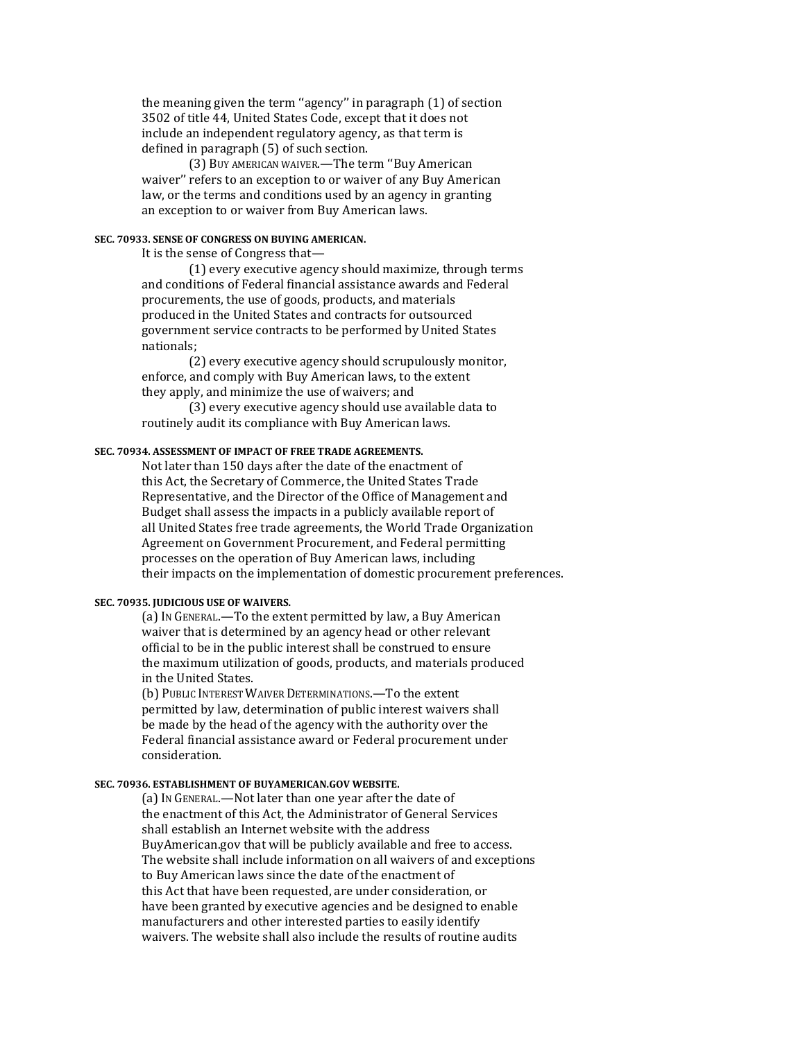the meaning given the term ''agency'' in paragraph (1) of section 3502 of title 44, United States Code, except that it does not include an independent regulatory agency, as that term is defined in paragraph (5) of such section.

(3) BUY AMERICAN WAIVER.—The term ''Buy American waiver'' refers to an exception to or waiver of any Buy American law, or the terms and conditions used by an agency in granting an exception to or waiver from Buy American laws.

#### **SEC. 70933. SENSE OF CONGRESS ON BUYING AMERICAN.**

It is the sense of Congress that—

(1) every executive agency should maximize, through terms and conditions of Federal financial assistance awards and Federal procurements, the use of goods, products, and materials produced in the United States and contracts for outsourced government service contracts to be performed by United States nationals;

(2) every executive agency should scrupulously monitor, enforce, and comply with Buy American laws, to the extent they apply, and minimize the use of waivers; and

(3) every executive agency should use available data to routinely audit its compliance with Buy American laws.

#### **SEC. 70934. ASSESSMENT OF IMPACT OF FREE TRADE AGREEMENTS.**

Not later than 150 days after the date of the enactment of this Act, the Secretary of Commerce, the United States Trade Representative, and the Director of the Office of Management and Budget shall assess the impacts in a publicly available report of all United States free trade agreements, the World Trade Organization Agreement on Government Procurement, and Federal permitting processes on the operation of Buy American laws, including their impacts on the implementation of domestic procurement preferences.

#### **SEC. 70935. JUDICIOUS USE OF WAIVERS.**

(a) IN GENERAL.—To the extent permitted by law, a Buy American waiver that is determined by an agency head or other relevant official to be in the public interest shall be construed to ensure the maximum utilization of goods, products, and materials produced in the United States.

(b) PUBLIC INTEREST WAIVER DETERMINATIONS.—To the extent permitted by law, determination of public interest waivers shall be made by the head of the agency with the authority over the Federal financial assistance award or Federal procurement under consideration.

#### **SEC. 70936. ESTABLISHMENT OF BUYAMERICAN.GOV WEBSITE.**

(a) IN GENERAL.—Not later than one year after the date of the enactment of this Act, the Administrator of General Services shall establish an Internet website with the address BuyAmerican.gov that will be publicly available and free to access. The website shall include information on all waivers of and exceptions to Buy American laws since the date of the enactment of this Act that have been requested, are under consideration, or have been granted by executive agencies and be designed to enable manufacturers and other interested parties to easily identify waivers. The website shall also include the results of routine audits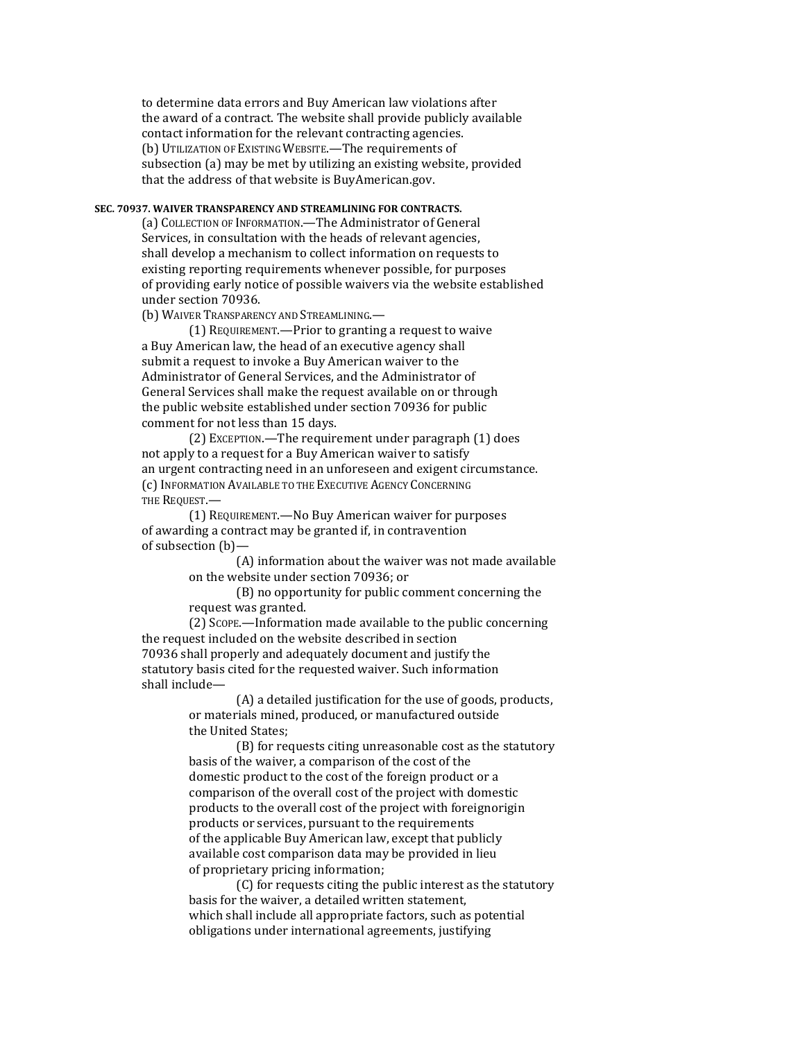to determine data errors and Buy American law violations after the award of a contract. The website shall provide publicly available contact information for the relevant contracting agencies. (b) UTILIZATION OF EXISTING WEBSITE.—The requirements of subsection (a) may be met by utilizing an existing website, provided that the address of that website is BuyAmerican.gov.

#### **SEC. 70937. WAIVER TRANSPARENCY AND STREAMLINING FOR CONTRACTS.**

(a) COLLECTION OF INFORMATION.—The Administrator of General Services, in consultation with the heads of relevant agencies, shall develop a mechanism to collect information on requests to existing reporting requirements whenever possible, for purposes of providing early notice of possible waivers via the website established under section 70936.

(b) WAIVER TRANSPARENCY AND STREAMLINING.

(1) REQUIREMENT.—Prior to granting a request to waive a Buy American law, the head of an executive agency shall submit a request to invoke a Buy American waiver to the Administrator of General Services, and the Administrator of General Services shall make the request available on or through the public website established under section 70936 for public comment for not less than 15 days.

(2) EXCEPTION.—The requirement under paragraph (1) does not apply to a request for a Buy American waiver to satisfy an urgent contracting need in an unforeseen and exigent circumstance. (c) INFORMATION AVAILABLE TO THE EXECUTIVE AGENCY CONCERNING THE REQUEST.—

(1) REQUIREMENT.—No Buy American waiver for purposes of awarding a contract may be granted if, in contravention of subsection (b)—

> (A) information about the waiver was not made available on the website under section 70936; or

(B) no opportunity for public comment concerning the request was granted.

(2) SCOPE.—Information made available to the public concerning the request included on the website described in section 70936 shall properly and adequately document and justify the statutory basis cited for the requested waiver. Such information shall include—

> (A) a detailed justification for the use of goods, products, or materials mined, produced, or manufactured outside the United States;

> (B) for requests citing unreasonable cost as the statutory basis of the waiver, a comparison of the cost of the domestic product to the cost of the foreign product or a comparison of the overall cost of the project with domestic products to the overall cost of the project with foreignorigin products or services, pursuant to the requirements of the applicable Buy American law, except that publicly available cost comparison data may be provided in lieu of proprietary pricing information;

> (C) for requests citing the public interest as the statutory basis for the waiver, a detailed written statement, which shall include all appropriate factors, such as potential obligations under international agreements, justifying